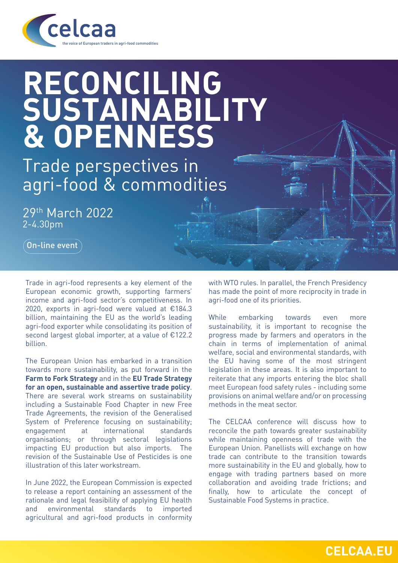

## **RECONCILING SUSTAINABILITY & OPENNESS**

Trade perspectives in agri-food & commodities

29th March 2022 2-4.30pm

 $($  On-line event

Trade in agri-food represents a key element of the European economic growth, supporting farmers' income and agri-food sector's competitiveness. In 2020, exports in agri-food were valued at €184.3 billion, maintaining the EU as the world's leading agri-food exporter while consolidating its position of second largest global importer, at a value of €122.2 billion.

The European Union has embarked in a transition towards more sustainability, as put forward in the **Farm to Fork Strategy** and in the **EU Trade Strategy for an open, sustainable and assertive trade policy**. There are several work streams on sustainability including a Sustainable Food Chapter in new Free Trade Agreements, the revision of the Generalised System of Preference focusing on sustainability; engagement at international standards organisations; or through sectoral legislations impacting EU production but also imports. The revision of the Sustainable Use of Pesticides is one illustration of this later workstream.

In June 2022, the European Commission is expected to release a report containing an assessment of the rationale and legal feasibility of applying EU health and environmental standards to imported agricultural and agri-food products in conformity with WTO rules. In parallel, the French Presidency has made the point of more reciprocity in trade in agri-food one of its priorities.

While embarking towards even more sustainability, it is important to recognise the progress made by farmers and operators in the chain in terms of implementation of animal welfare, social and environmental standards, with the EU having some of the most stringent legislation in these areas. It is also important to reiterate that any imports entering the bloc shall meet European food safety rules - including some provisions on animal welfare and/or on processing methods in the meat sector.

The CELCAA conference will discuss how to reconcile the path towards greater sustainability while maintaining openness of trade with the European Union. Panellists will exchange on how trade can contribute to the transition towards more sustainability in the EU and globally, how to engage with trading partners based on more collaboration and avoiding trade frictions; and finally, how to articulate the concept of Sustainable Food Systems in practice.

**CELCAA.EU**